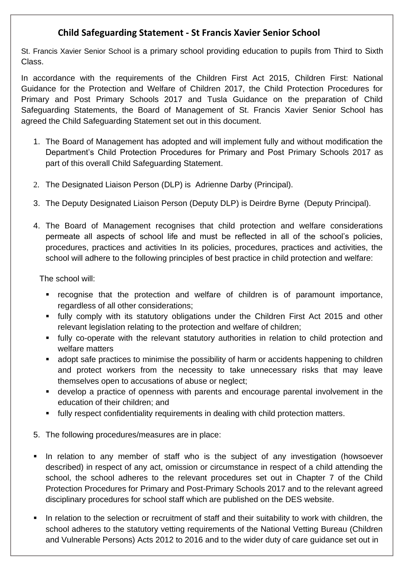## **Child Safeguarding Statement - St Francis Xavier Senior School**

St. Francis Xavier Senior School is a primary school providing education to pupils from Third to Sixth Class.

In accordance with the requirements of the Children First Act 2015, Children First: National Guidance for the Protection and Welfare of Children 2017, the Child Protection Procedures for Primary and Post Primary Schools 2017 and Tusla Guidance on the preparation of Child Safeguarding Statements, the Board of Management of St. Francis Xavier Senior School has agreed the Child Safeguarding Statement set out in this document.

- 1. The Board of Management has adopted and will implement fully and without modification the Department's Child Protection Procedures for Primary and Post Primary Schools 2017 as part of this overall Child Safeguarding Statement.
- 2. The Designated Liaison Person (DLP) is Adrienne Darby (Principal).
- 3. The Deputy Designated Liaison Person (Deputy DLP) is Deirdre Byrne (Deputy Principal).
- 4. The Board of Management recognises that child protection and welfare considerations permeate all aspects of school life and must be reflected in all of the school's policies, procedures, practices and activities In its policies, procedures, practices and activities, the school will adhere to the following principles of best practice in child protection and welfare:

The school will:

- recognise that the protection and welfare of children is of paramount importance, regardless of all other considerations;
- **■** fully comply with its statutory obligations under the Children First Act 2015 and other relevant legislation relating to the protection and welfare of children;
- **•** fully co-operate with the relevant statutory authorities in relation to child protection and welfare matters
- adopt safe practices to minimise the possibility of harm or accidents happening to children and protect workers from the necessity to take unnecessary risks that may leave themselves open to accusations of abuse or neglect;
- **■** develop a practice of openness with parents and encourage parental involvement in the education of their children; and
- **■** fully respect confidentiality requirements in dealing with child protection matters.
- 5. The following procedures/measures are in place:
- **■** In relation to any member of staff who is the subject of any investigation (howsoever described) in respect of any act, omission or circumstance in respect of a child attending the school, the school adheres to the relevant procedures set out in Chapter 7 of the Child Protection Procedures for Primary and Post-Primary Schools 2017 and to the relevant agreed disciplinary procedures for school staff which are published on the DES website.
- In relation to the selection or recruitment of staff and their suitability to work with children, the school adheres to the statutory vetting requirements of the National Vetting Bureau (Children and Vulnerable Persons) Acts 2012 to 2016 and to the wider duty of care guidance set out in